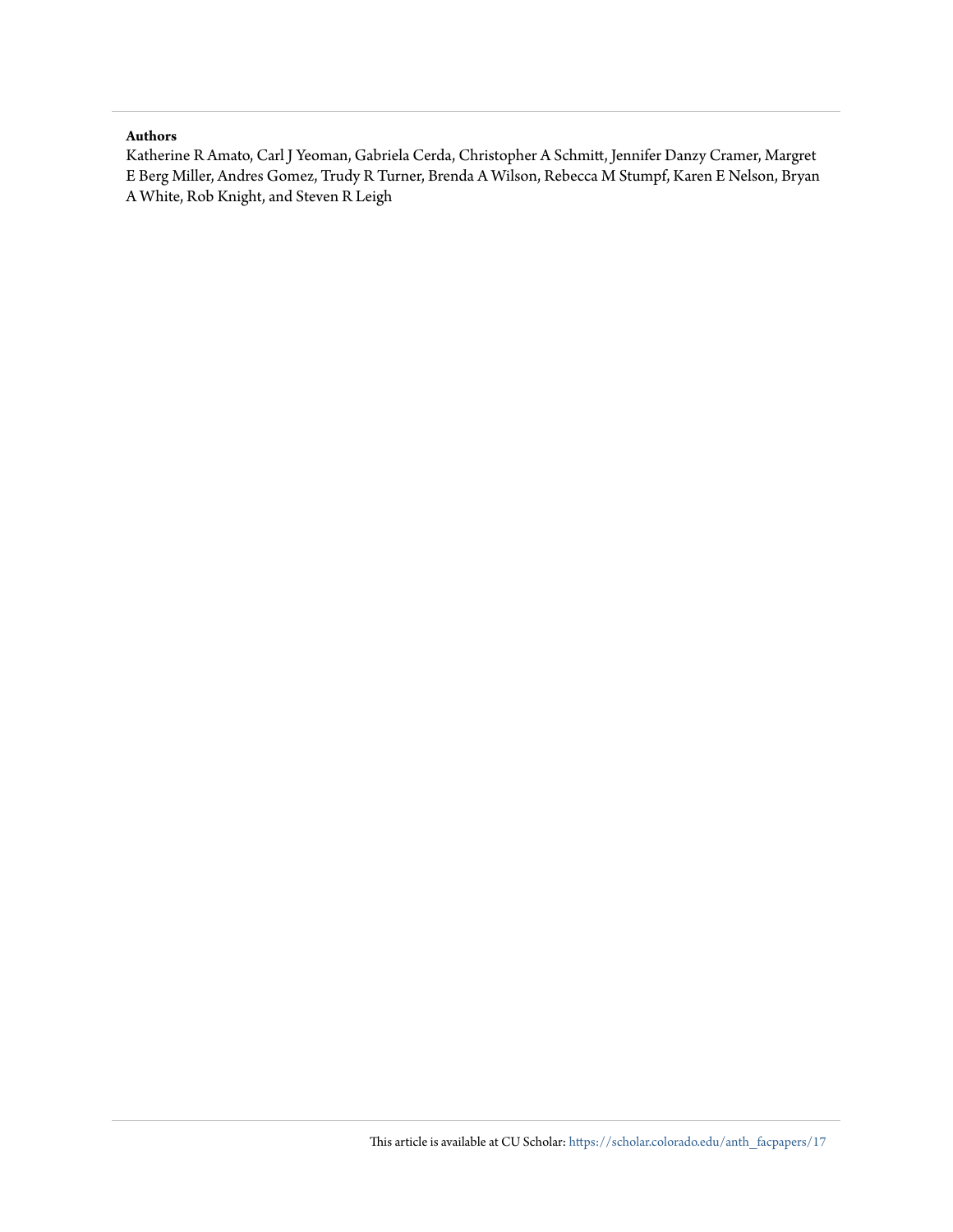# **Authors**

Katherine R Amato, Carl J Yeoman, Gabriela Cerda, Christopher A Schmitt, Jennifer Danzy Cramer, Margret E Berg Miller, Andres Gomez, Trudy R Turner, Brenda A Wilson, Rebecca M Stumpf, Karen E Nelson, Bryan A White, Rob Knight, and Steven R Leigh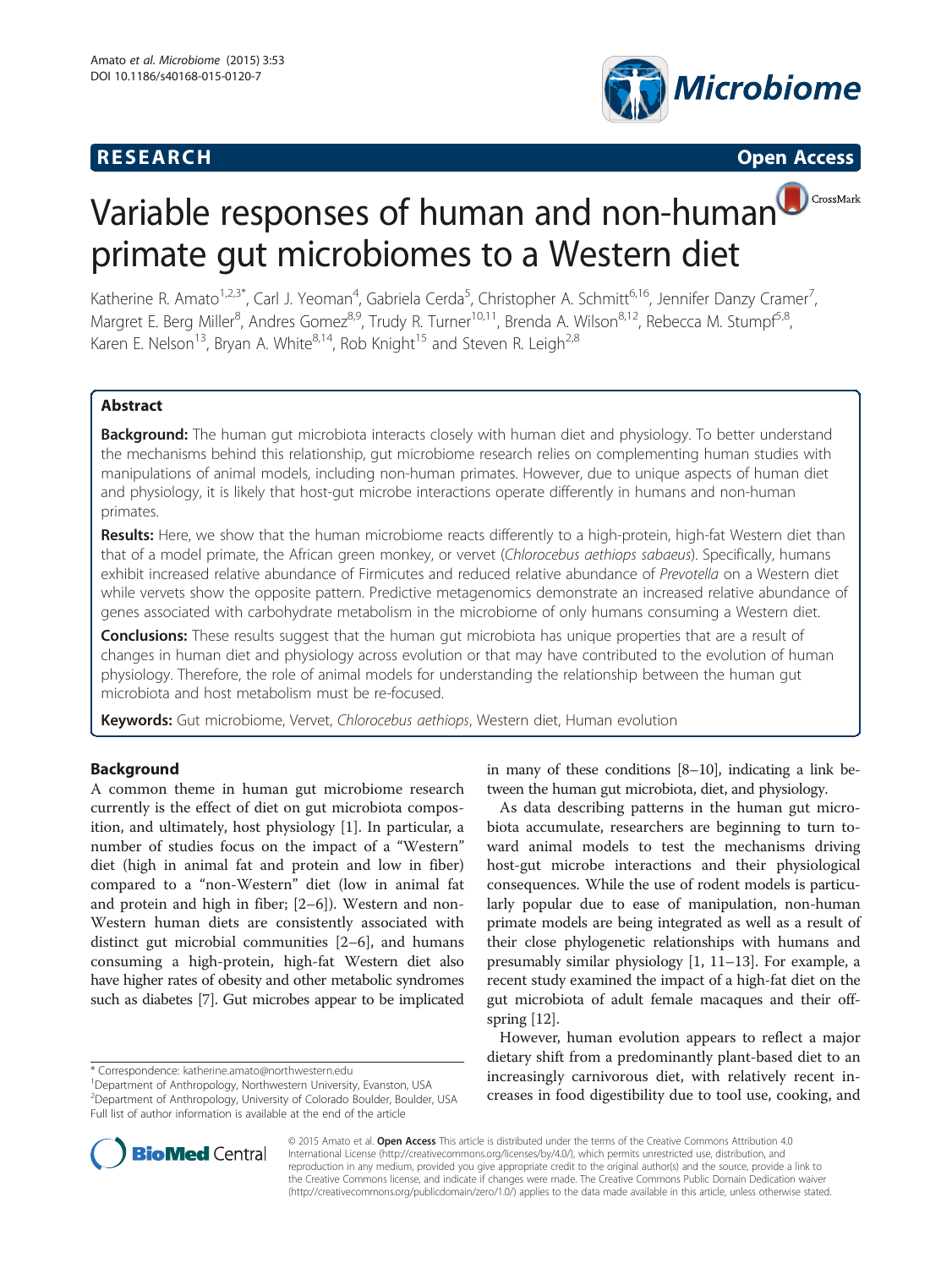# **RESEARCH CHINESE ARCH CHINESE ARCH CHINESE ARCH**



# CrossMark Variable respo[n](http://crossmark.crossref.org/dialog/?doi=10.1186/s40168-015-0120-7&domain=pdf)ses of human and non-human primate gut microbiomes to a Western diet

Katherine R. Amato<sup>1,2,3\*</sup>, Carl J. Yeoman<sup>4</sup>, Gabriela Cerda<sup>5</sup>, Christopher A. Schmitt<sup>6,16</sup>, Jennifer Danzy Cramer<sup>7</sup> , Margret E. Berg Miller<sup>8</sup>, Andres Gomez<sup>8,9</sup>, Trudy R. Turner<sup>10,11</sup>, Brenda A. Wilson<sup>8,12</sup>, Rebecca M. Stumpf<sup>5,8</sup>, Karen E. Nelson<sup>13</sup>, Bryan A. White<sup>8,14</sup>, Rob Knight<sup>15</sup> and Steven R. Leigh<sup>2,8</sup>

# Abstract

**Background:** The human gut microbiota interacts closely with human diet and physiology. To better understand the mechanisms behind this relationship, gut microbiome research relies on complementing human studies with manipulations of animal models, including non-human primates. However, due to unique aspects of human diet and physiology, it is likely that host-gut microbe interactions operate differently in humans and non-human primates.

Results: Here, we show that the human microbiome reacts differently to a high-protein, high-fat Western diet than that of a model primate, the African green monkey, or vervet (Chlorocebus aethiops sabaeus). Specifically, humans exhibit increased relative abundance of Firmicutes and reduced relative abundance of Prevotella on a Western diet while vervets show the opposite pattern. Predictive metagenomics demonstrate an increased relative abundance of genes associated with carbohydrate metabolism in the microbiome of only humans consuming a Western diet.

**Conclusions:** These results suggest that the human gut microbiota has unique properties that are a result of changes in human diet and physiology across evolution or that may have contributed to the evolution of human physiology. Therefore, the role of animal models for understanding the relationship between the human gut microbiota and host metabolism must be re-focused.

Keywords: Gut microbiome, Vervet, Chlorocebus aethiops, Western diet, Human evolution

# Background

A common theme in human gut microbiome research currently is the effect of diet on gut microbiota composition, and ultimately, host physiology [1]. In particular, a number of studies focus on the impact of a "Western" diet (high in animal fat and protein and low in fiber) compared to a "non-Western" diet (low in animal fat and protein and high in fiber; [2–6]). Western and non-Western human diets are consistently associated with distinct gut microbial communities [2–6], and humans consuming a high-protein, high-fat Western diet also have higher rates of obesity and other metabolic syndromes such as diabetes [7]. Gut microbes appear to be implicated



As data describing patterns in the human gut microbiota accumulate, researchers are beginning to turn toward animal models to test the mechanisms driving host-gut microbe interactions and their physiological consequences. While the use of rodent models is particularly popular due to ease of manipulation, non-human primate models are being integrated as well as a result of their close phylogenetic relationships with humans and presumably similar physiology [1, 11–13]. For example, a recent study examined the impact of a high-fat diet on the gut microbiota of adult female macaques and their offspring [12].

However, human evolution appears to reflect a major dietary shift from a predominantly plant-based diet to an increasingly carnivorous diet, with relatively recent increases in food digestibility due to tool use, cooking, and



© 2015 Amato et al. Open Access This article is distributed under the terms of the Creative Commons Attribution 4.0 International License [\(http://creativecommons.org/licenses/by/4.0/](http://creativecommons.org/licenses/by/4.0/)), which permits unrestricted use, distribution, and reproduction in any medium, provided you give appropriate credit to the original author(s) and the source, provide a link to the Creative Commons license, and indicate if changes were made. The Creative Commons Public Domain Dedication waiver [\(http://creativecommons.org/publicdomain/zero/1.0/](http://creativecommons.org/publicdomain/zero/1.0/)) applies to the data made available in this article, unless otherwise stated.

<sup>\*</sup> Correspondence: [katherine.amato@northwestern.edu](mailto:katherine.amato@northwestern.edu) <sup>1</sup>

<sup>&</sup>lt;sup>1</sup>Department of Anthropology, Northwestern University, Evanston, USA 2 Department of Anthropology, University of Colorado Boulder, Boulder, USA

Full list of author information is available at the end of the article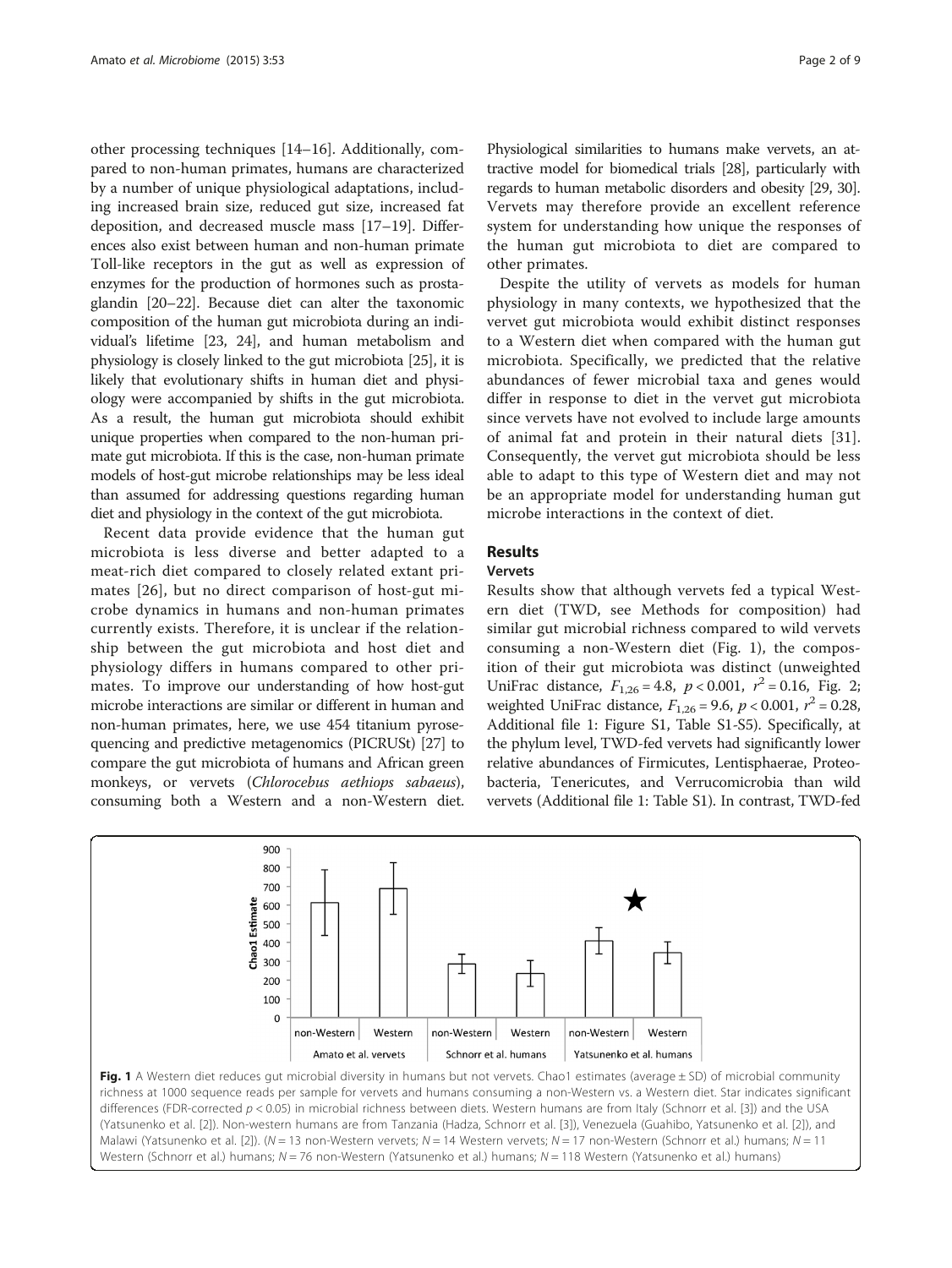other processing techniques [14–16]. Additionally, compared to non-human primates, humans are characterized by a number of unique physiological adaptations, including increased brain size, reduced gut size, increased fat deposition, and decreased muscle mass [17–19]. Differences also exist between human and non-human primate Toll-like receptors in the gut as well as expression of enzymes for the production of hormones such as prostaglandin [20–22]. Because diet can alter the taxonomic composition of the human gut microbiota during an individual's lifetime [23, 24], and human metabolism and physiology is closely linked to the gut microbiota [25], it is likely that evolutionary shifts in human diet and physiology were accompanied by shifts in the gut microbiota. As a result, the human gut microbiota should exhibit unique properties when compared to the non-human primate gut microbiota. If this is the case, non-human primate models of host-gut microbe relationships may be less ideal than assumed for addressing questions regarding human diet and physiology in the context of the gut microbiota.

Recent data provide evidence that the human gut microbiota is less diverse and better adapted to a meat-rich diet compared to closely related extant primates [26], but no direct comparison of host-gut microbe dynamics in humans and non-human primates currently exists. Therefore, it is unclear if the relationship between the gut microbiota and host diet and physiology differs in humans compared to other primates. To improve our understanding of how host-gut microbe interactions are similar or different in human and non-human primates, here, we use 454 titanium pyrosequencing and predictive metagenomics (PICRUSt) [27] to compare the gut microbiota of humans and African green monkeys, or vervets (Chlorocebus aethiops sabaeus), consuming both a Western and a non-Western diet. Physiological similarities to humans make vervets, an attractive model for biomedical trials [28], particularly with regards to human metabolic disorders and obesity [29, 30]. Vervets may therefore provide an excellent reference system for understanding how unique the responses of the human gut microbiota to diet are compared to other primates.

Despite the utility of vervets as models for human physiology in many contexts, we hypothesized that the vervet gut microbiota would exhibit distinct responses to a Western diet when compared with the human gut microbiota. Specifically, we predicted that the relative abundances of fewer microbial taxa and genes would differ in response to diet in the vervet gut microbiota since vervets have not evolved to include large amounts of animal fat and protein in their natural diets [31]. Consequently, the vervet gut microbiota should be less able to adapt to this type of Western diet and may not be an appropriate model for understanding human gut microbe interactions in the context of diet.

# Results

# Vervets

Results show that although vervets fed a typical Western diet (TWD, see Methods for composition) had similar gut microbial richness compared to wild vervets consuming a non-Western diet (Fig. 1), the composition of their gut microbiota was distinct (unweighted UniFrac distance,  $F_{1,26} = 4.8$ ,  $p < 0.001$ ,  $r^2 = 0.16$ , Fig. 2; weighted UniFrac distance,  $F_{1,26} = 9.6$ ,  $p < 0.001$ ,  $r^2 = 0.28$ , Additional file 1: Figure S1, Table S1-S5). Specifically, at the phylum level, TWD-fed vervets had significantly lower relative abundances of Firmicutes, Lentisphaerae, Proteobacteria, Tenericutes, and Verrucomicrobia than wild vervets (Additional file 1: Table S1). In contrast, TWD-fed



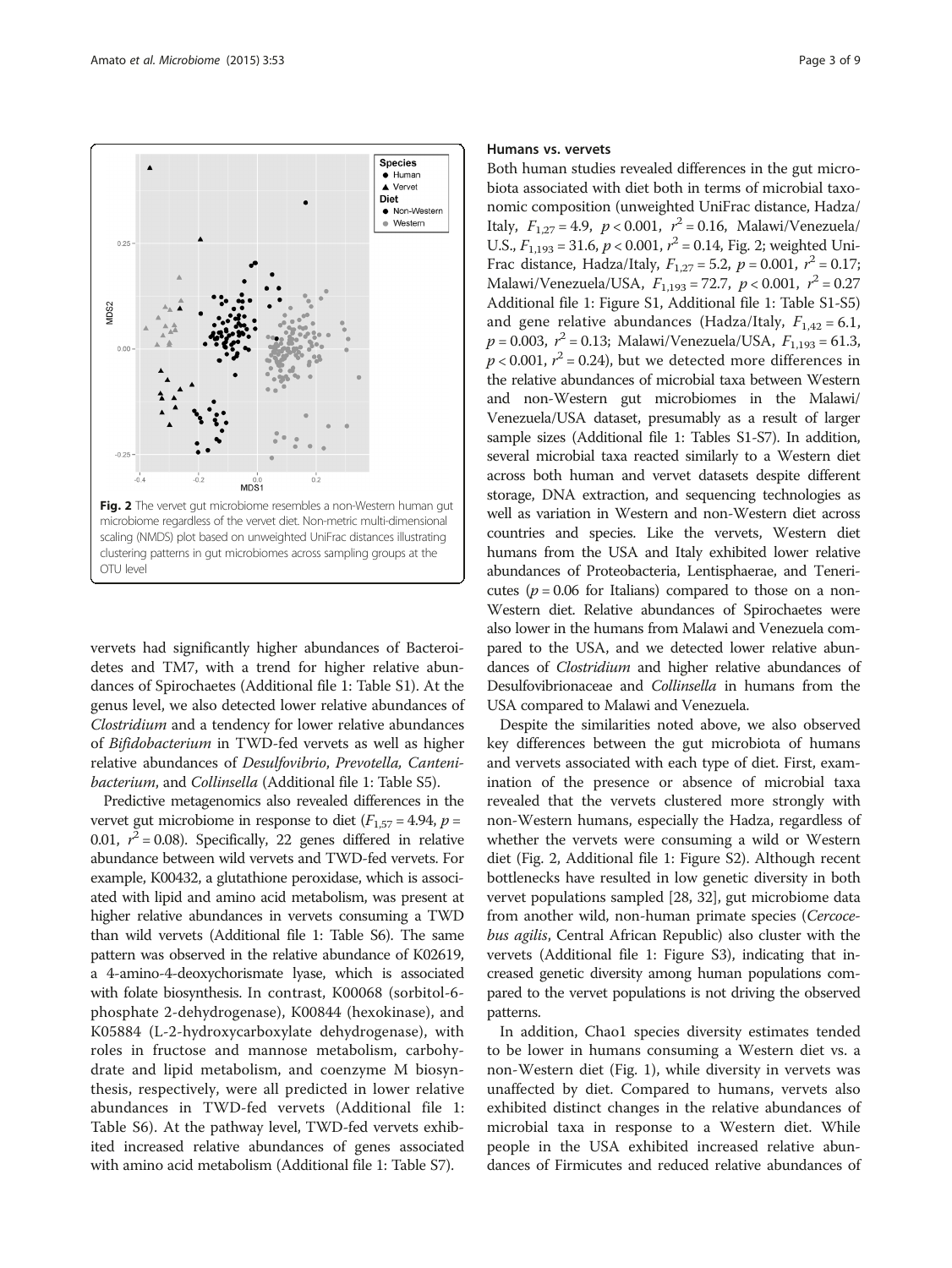

vervets had significantly higher abundances of Bacteroidetes and TM7, with a trend for higher relative abundances of Spirochaetes (Additional file 1: Table S1). At the genus level, we also detected lower relative abundances of Clostridium and a tendency for lower relative abundances of Bifidobacterium in TWD-fed vervets as well as higher relative abundances of Desulfovibrio, Prevotella, Cantenibacterium, and Collinsella (Additional file 1: Table S5).

Predictive metagenomics also revealed differences in the vervet gut microbiome in response to diet ( $F_{1,57} = 4.94$ ,  $p =$ 0.01,  $r^2$  = 0.08). Specifically, 22 genes differed in relative abundance between wild vervets and TWD-fed vervets. For example, K00432, a glutathione peroxidase, which is associated with lipid and amino acid metabolism, was present at higher relative abundances in vervets consuming a TWD than wild vervets (Additional file 1: Table S6). The same pattern was observed in the relative abundance of K02619, a 4-amino-4-deoxychorismate lyase, which is associated with folate biosynthesis. In contrast, K00068 (sorbitol-6 phosphate 2-dehydrogenase), K00844 (hexokinase), and K05884 (L-2-hydroxycarboxylate dehydrogenase), with roles in fructose and mannose metabolism, carbohydrate and lipid metabolism, and coenzyme M biosynthesis, respectively, were all predicted in lower relative abundances in TWD-fed vervets (Additional file 1: Table S6). At the pathway level, TWD-fed vervets exhibited increased relative abundances of genes associated with amino acid metabolism (Additional file 1: Table S7).

# Humans vs. vervets

Both human studies revealed differences in the gut microbiota associated with diet both in terms of microbial taxonomic composition (unweighted UniFrac distance, Hadza/ Italy,  $F_{1,27} = 4.9$ ,  $p < 0.001$ ,  $r^2 = 0.16$ , Malawi/Venezuela/ U.S.,  $F_{1,193} = 31.6$ ,  $p < 0.001$ ,  $r^2 = 0.14$ , Fig. 2; weighted Uni-Frac distance, Hadza/Italy,  $F_{1,27} = 5.2$ ,  $p = 0.001$ ,  $r^2 = 0.17$ ; Malawi/Venezuela/USA,  $F_{1,193} = 72.7$ ,  $p < 0.001$ ,  $r^2 = 0.27$ Additional file 1: Figure S1, Additional file 1: Table S1-S5) and gene relative abundances (Hadza/Italy,  $F_{1,42} = 6.1$ ,  $p = 0.003$ ,  $r^2 = 0.13$ ; Malawi/Venezuela/USA,  $F_{1,193} = 61.3$ ,  $p < 0.001$ ,  $r^2 = 0.24$ ), but we detected more differences in the relative abundances of microbial taxa between Western and non-Western gut microbiomes in the Malawi/ Venezuela/USA dataset, presumably as a result of larger sample sizes (Additional file 1: Tables S1-S7). In addition, several microbial taxa reacted similarly to a Western diet across both human and vervet datasets despite different storage, DNA extraction, and sequencing technologies as well as variation in Western and non-Western diet across countries and species. Like the vervets, Western diet humans from the USA and Italy exhibited lower relative abundances of Proteobacteria, Lentisphaerae, and Tenericutes ( $p = 0.06$  for Italians) compared to those on a non-Western diet. Relative abundances of Spirochaetes were also lower in the humans from Malawi and Venezuela compared to the USA, and we detected lower relative abundances of Clostridium and higher relative abundances of Desulfovibrionaceae and Collinsella in humans from the USA compared to Malawi and Venezuela.

Despite the similarities noted above, we also observed key differences between the gut microbiota of humans and vervets associated with each type of diet. First, examination of the presence or absence of microbial taxa revealed that the vervets clustered more strongly with non-Western humans, especially the Hadza, regardless of whether the vervets were consuming a wild or Western diet (Fig. 2, Additional file 1: Figure S2). Although recent bottlenecks have resulted in low genetic diversity in both vervet populations sampled [28, 32], gut microbiome data from another wild, non-human primate species (Cercocebus agilis, Central African Republic) also cluster with the vervets (Additional file 1: Figure S3), indicating that increased genetic diversity among human populations compared to the vervet populations is not driving the observed patterns.

In addition, Chao1 species diversity estimates tended to be lower in humans consuming a Western diet vs. a non-Western diet (Fig. 1), while diversity in vervets was unaffected by diet. Compared to humans, vervets also exhibited distinct changes in the relative abundances of microbial taxa in response to a Western diet. While people in the USA exhibited increased relative abundances of Firmicutes and reduced relative abundances of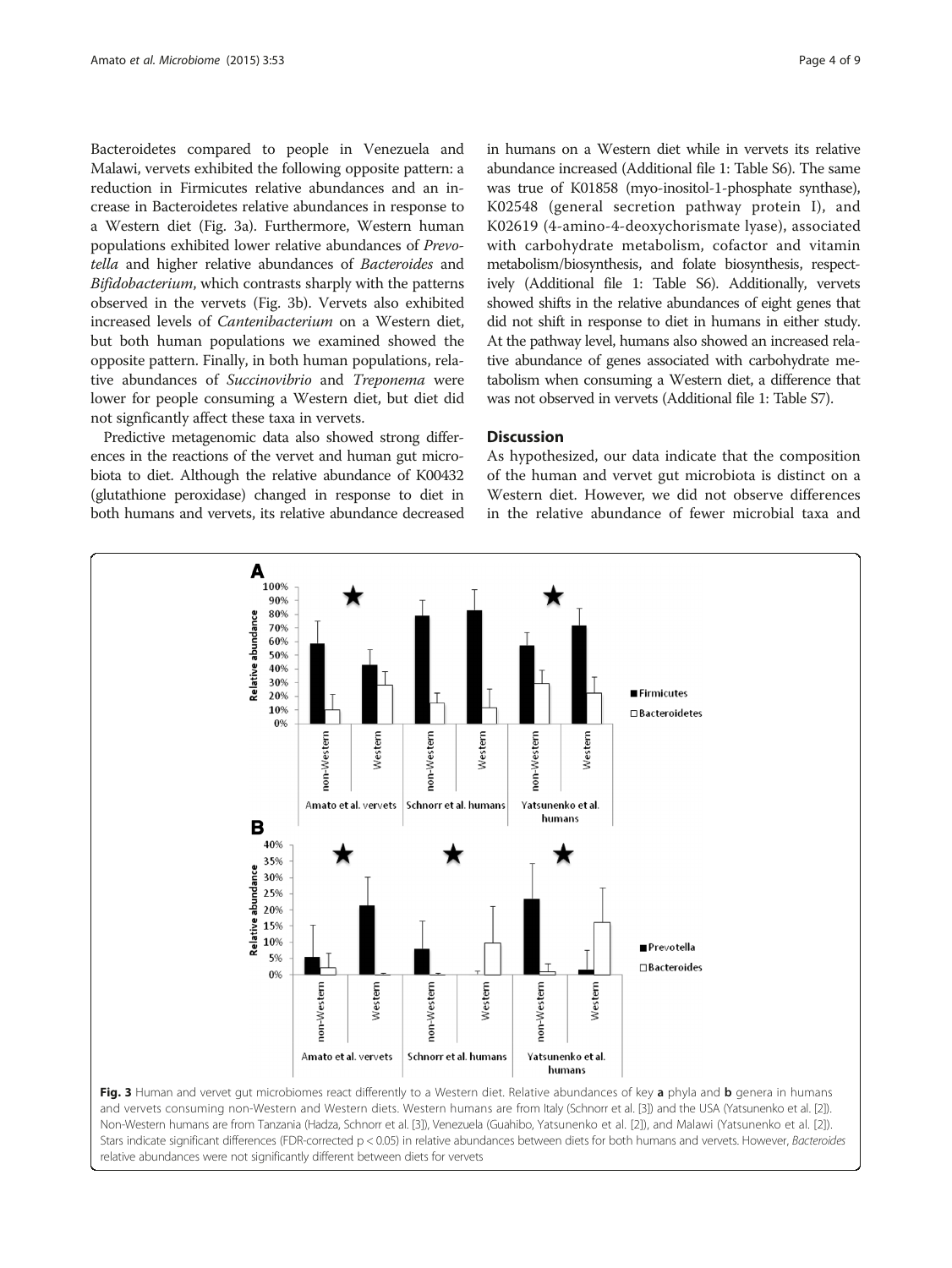Bacteroidetes compared to people in Venezuela and Malawi, vervets exhibited the following opposite pattern: a reduction in Firmicutes relative abundances and an increase in Bacteroidetes relative abundances in response to a Western diet (Fig. 3a). Furthermore, Western human populations exhibited lower relative abundances of Prevotella and higher relative abundances of Bacteroides and Bifidobacterium, which contrasts sharply with the patterns observed in the vervets (Fig. 3b). Vervets also exhibited increased levels of Cantenibacterium on a Western diet, but both human populations we examined showed the opposite pattern. Finally, in both human populations, relative abundances of Succinovibrio and Treponema were lower for people consuming a Western diet, but diet did not signficantly affect these taxa in vervets.

Predictive metagenomic data also showed strong differences in the reactions of the vervet and human gut microbiota to diet. Although the relative abundance of K00432 (glutathione peroxidase) changed in response to diet in both humans and vervets, its relative abundance decreased in humans on a Western diet while in vervets its relative abundance increased (Additional file 1: Table S6). The same was true of K01858 (myo-inositol-1-phosphate synthase), K02548 (general secretion pathway protein I), and K02619 (4-amino-4-deoxychorismate lyase), associated with carbohydrate metabolism, cofactor and vitamin metabolism/biosynthesis, and folate biosynthesis, respectively (Additional file 1: Table S6). Additionally, vervets showed shifts in the relative abundances of eight genes that did not shift in response to diet in humans in either study. At the pathway level, humans also showed an increased relative abundance of genes associated with carbohydrate metabolism when consuming a Western diet, a difference that was not observed in vervets (Additional file 1: Table S7).

# **Discussion**

As hypothesized, our data indicate that the composition of the human and vervet gut microbiota is distinct on a Western diet. However, we did not observe differences in the relative abundance of fewer microbial taxa and



Stars indicate significant differences (FDR-corrected p < 0.05) in relative abundances between diets for both humans and vervets. However, Bacteroides relative abundances were not significantly different between diets for vervets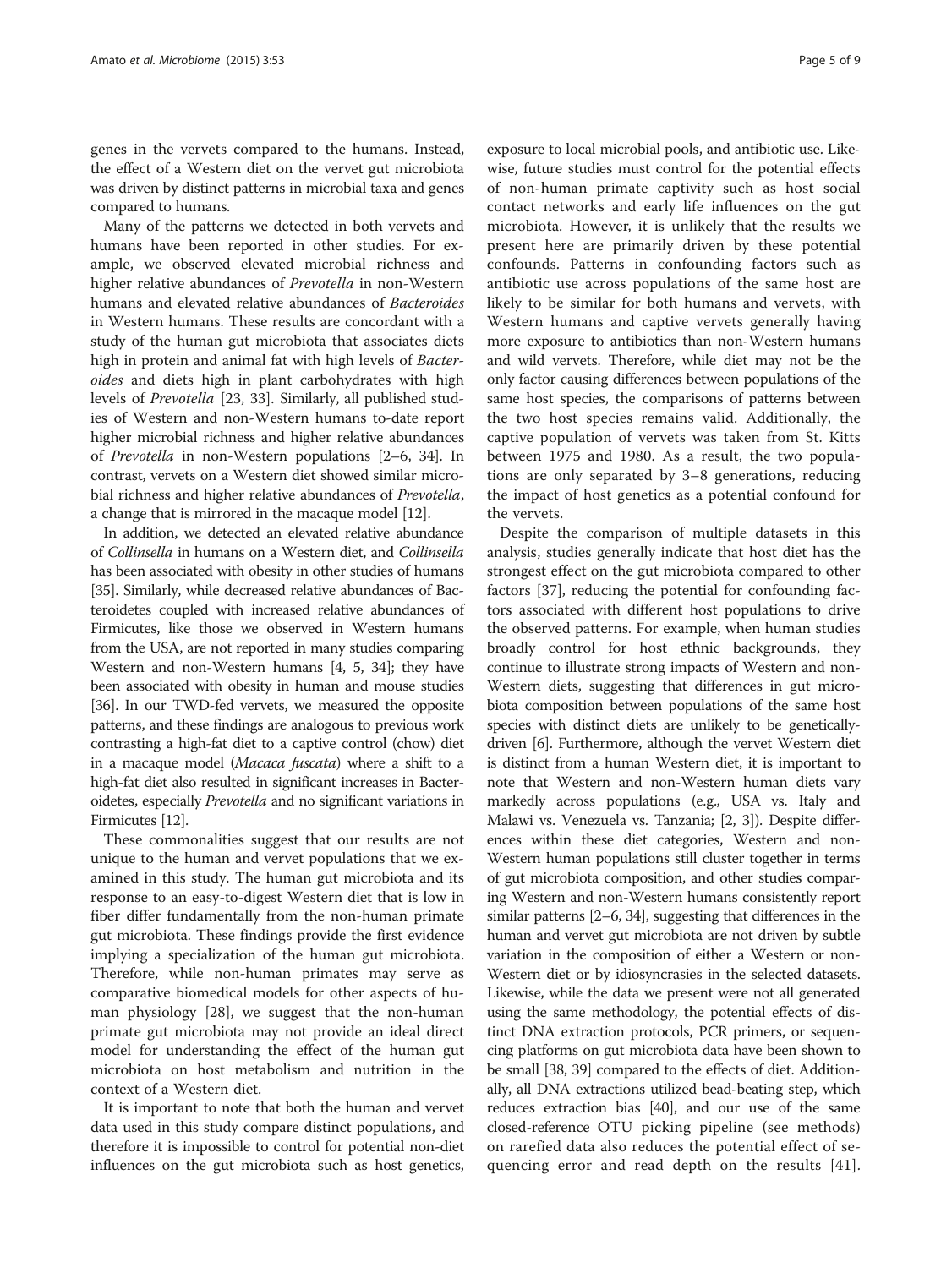genes in the vervets compared to the humans. Instead, the effect of a Western diet on the vervet gut microbiota was driven by distinct patterns in microbial taxa and genes compared to humans.

Many of the patterns we detected in both vervets and humans have been reported in other studies. For example, we observed elevated microbial richness and higher relative abundances of Prevotella in non-Western humans and elevated relative abundances of Bacteroides in Western humans. These results are concordant with a study of the human gut microbiota that associates diets high in protein and animal fat with high levels of Bacteroides and diets high in plant carbohydrates with high levels of Prevotella [23, 33]. Similarly, all published studies of Western and non-Western humans to-date report higher microbial richness and higher relative abundances of Prevotella in non-Western populations [2–6, 34]. In contrast, vervets on a Western diet showed similar microbial richness and higher relative abundances of Prevotella, a change that is mirrored in the macaque model [12].

In addition, we detected an elevated relative abundance of Collinsella in humans on a Western diet, and Collinsella has been associated with obesity in other studies of humans [35]. Similarly, while decreased relative abundances of Bacteroidetes coupled with increased relative abundances of Firmicutes, like those we observed in Western humans from the USA, are not reported in many studies comparing Western and non-Western humans [4, 5, 34]; they have been associated with obesity in human and mouse studies [36]. In our TWD-fed vervets, we measured the opposite patterns, and these findings are analogous to previous work contrasting a high-fat diet to a captive control (chow) diet in a macaque model (Macaca fuscata) where a shift to a high-fat diet also resulted in significant increases in Bacteroidetes, especially Prevotella and no significant variations in Firmicutes [12].

These commonalities suggest that our results are not unique to the human and vervet populations that we examined in this study. The human gut microbiota and its response to an easy-to-digest Western diet that is low in fiber differ fundamentally from the non-human primate gut microbiota. These findings provide the first evidence implying a specialization of the human gut microbiota. Therefore, while non-human primates may serve as comparative biomedical models for other aspects of human physiology [28], we suggest that the non-human primate gut microbiota may not provide an ideal direct model for understanding the effect of the human gut microbiota on host metabolism and nutrition in the context of a Western diet.

It is important to note that both the human and vervet data used in this study compare distinct populations, and therefore it is impossible to control for potential non-diet influences on the gut microbiota such as host genetics,

exposure to local microbial pools, and antibiotic use. Likewise, future studies must control for the potential effects of non-human primate captivity such as host social contact networks and early life influences on the gut microbiota. However, it is unlikely that the results we present here are primarily driven by these potential confounds. Patterns in confounding factors such as antibiotic use across populations of the same host are likely to be similar for both humans and vervets, with Western humans and captive vervets generally having more exposure to antibiotics than non-Western humans and wild vervets. Therefore, while diet may not be the only factor causing differences between populations of the same host species, the comparisons of patterns between the two host species remains valid. Additionally, the captive population of vervets was taken from St. Kitts between 1975 and 1980. As a result, the two populations are only separated by 3–8 generations, reducing the impact of host genetics as a potential confound for the vervets.

Despite the comparison of multiple datasets in this analysis, studies generally indicate that host diet has the strongest effect on the gut microbiota compared to other factors [37], reducing the potential for confounding factors associated with different host populations to drive the observed patterns. For example, when human studies broadly control for host ethnic backgrounds, they continue to illustrate strong impacts of Western and non-Western diets, suggesting that differences in gut microbiota composition between populations of the same host species with distinct diets are unlikely to be geneticallydriven [6]. Furthermore, although the vervet Western diet is distinct from a human Western diet, it is important to note that Western and non-Western human diets vary markedly across populations (e.g., USA vs. Italy and Malawi vs. Venezuela vs. Tanzania; [2, 3]). Despite differences within these diet categories, Western and non-Western human populations still cluster together in terms of gut microbiota composition, and other studies comparing Western and non-Western humans consistently report similar patterns [2–6, 34], suggesting that differences in the human and vervet gut microbiota are not driven by subtle variation in the composition of either a Western or non-Western diet or by idiosyncrasies in the selected datasets. Likewise, while the data we present were not all generated using the same methodology, the potential effects of distinct DNA extraction protocols, PCR primers, or sequencing platforms on gut microbiota data have been shown to be small [38, 39] compared to the effects of diet. Additionally, all DNA extractions utilized bead-beating step, which reduces extraction bias [40], and our use of the same closed-reference OTU picking pipeline (see methods) on rarefied data also reduces the potential effect of sequencing error and read depth on the results [41].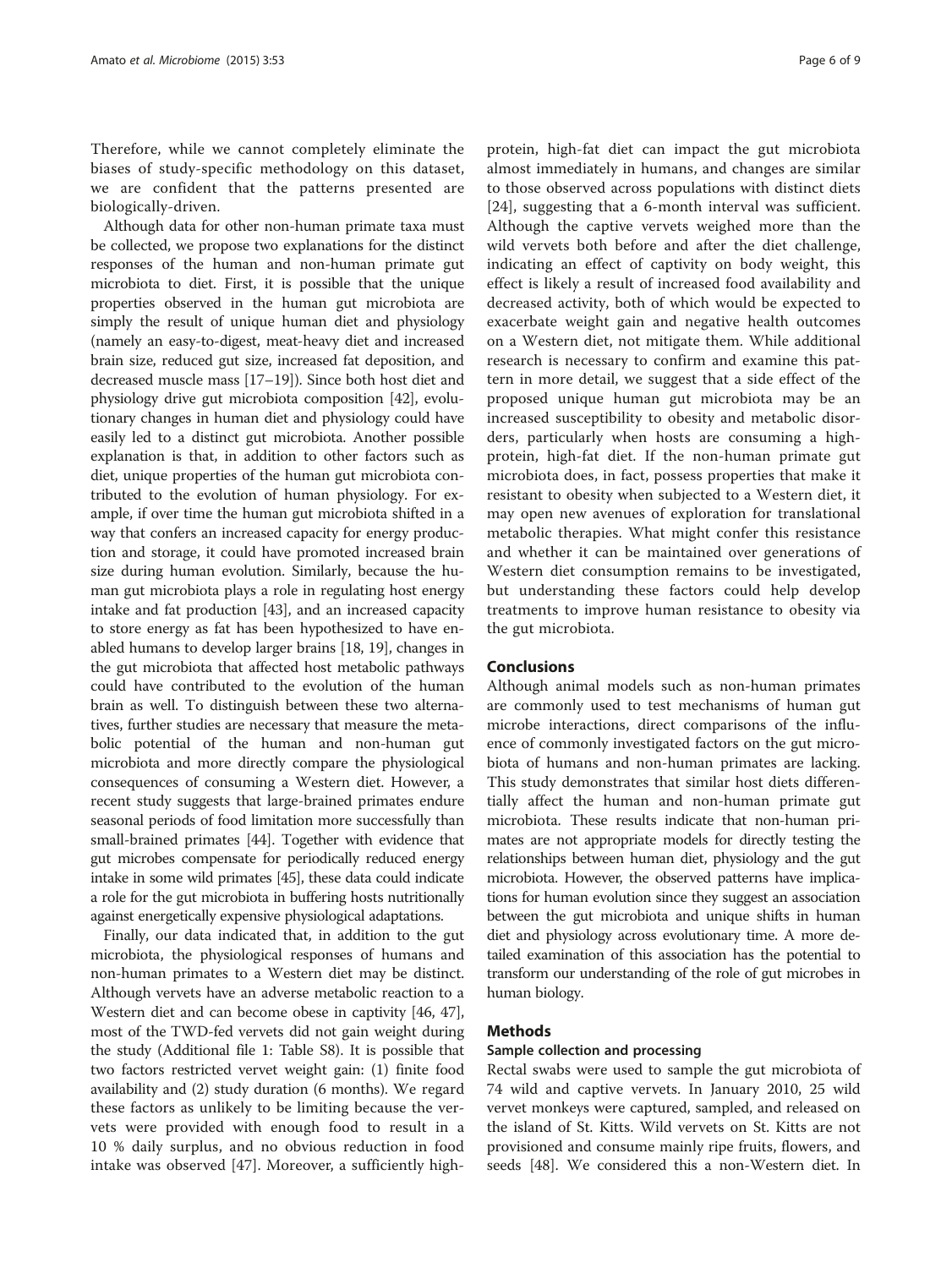Therefore, while we cannot completely eliminate the biases of study-specific methodology on this dataset, we are confident that the patterns presented are biologically-driven.

Although data for other non-human primate taxa must be collected, we propose two explanations for the distinct responses of the human and non-human primate gut microbiota to diet. First, it is possible that the unique properties observed in the human gut microbiota are simply the result of unique human diet and physiology (namely an easy-to-digest, meat-heavy diet and increased brain size, reduced gut size, increased fat deposition, and decreased muscle mass [17–19]). Since both host diet and physiology drive gut microbiota composition [42], evolutionary changes in human diet and physiology could have easily led to a distinct gut microbiota. Another possible explanation is that, in addition to other factors such as diet, unique properties of the human gut microbiota contributed to the evolution of human physiology. For example, if over time the human gut microbiota shifted in a way that confers an increased capacity for energy production and storage, it could have promoted increased brain size during human evolution. Similarly, because the human gut microbiota plays a role in regulating host energy intake and fat production [43], and an increased capacity to store energy as fat has been hypothesized to have enabled humans to develop larger brains [18, 19], changes in the gut microbiota that affected host metabolic pathways could have contributed to the evolution of the human brain as well. To distinguish between these two alternatives, further studies are necessary that measure the metabolic potential of the human and non-human gut microbiota and more directly compare the physiological consequences of consuming a Western diet. However, a recent study suggests that large-brained primates endure seasonal periods of food limitation more successfully than small-brained primates [44]. Together with evidence that gut microbes compensate for periodically reduced energy intake in some wild primates [45], these data could indicate a role for the gut microbiota in buffering hosts nutritionally against energetically expensive physiological adaptations.

Finally, our data indicated that, in addition to the gut microbiota, the physiological responses of humans and non-human primates to a Western diet may be distinct. Although vervets have an adverse metabolic reaction to a Western diet and can become obese in captivity [46, 47], most of the TWD-fed vervets did not gain weight during the study (Additional file 1: Table S8). It is possible that two factors restricted vervet weight gain: (1) finite food availability and (2) study duration (6 months). We regard these factors as unlikely to be limiting because the vervets were provided with enough food to result in a 10 % daily surplus, and no obvious reduction in food intake was observed [47]. Moreover, a sufficiently high-

protein, high-fat diet can impact the gut microbiota almost immediately in humans, and changes are similar to those observed across populations with distinct diets [24], suggesting that a 6-month interval was sufficient. Although the captive vervets weighed more than the wild vervets both before and after the diet challenge, indicating an effect of captivity on body weight, this effect is likely a result of increased food availability and decreased activity, both of which would be expected to exacerbate weight gain and negative health outcomes on a Western diet, not mitigate them. While additional research is necessary to confirm and examine this pattern in more detail, we suggest that a side effect of the proposed unique human gut microbiota may be an increased susceptibility to obesity and metabolic disorders, particularly when hosts are consuming a highprotein, high-fat diet. If the non-human primate gut microbiota does, in fact, possess properties that make it resistant to obesity when subjected to a Western diet, it may open new avenues of exploration for translational metabolic therapies. What might confer this resistance and whether it can be maintained over generations of Western diet consumption remains to be investigated, but understanding these factors could help develop treatments to improve human resistance to obesity via the gut microbiota.

#### Conclusions

Although animal models such as non-human primates are commonly used to test mechanisms of human gut microbe interactions, direct comparisons of the influence of commonly investigated factors on the gut microbiota of humans and non-human primates are lacking. This study demonstrates that similar host diets differentially affect the human and non-human primate gut microbiota. These results indicate that non-human primates are not appropriate models for directly testing the relationships between human diet, physiology and the gut microbiota. However, the observed patterns have implications for human evolution since they suggest an association between the gut microbiota and unique shifts in human diet and physiology across evolutionary time. A more detailed examination of this association has the potential to transform our understanding of the role of gut microbes in human biology.

# Methods

### Sample collection and processing

Rectal swabs were used to sample the gut microbiota of 74 wild and captive vervets. In January 2010, 25 wild vervet monkeys were captured, sampled, and released on the island of St. Kitts. Wild vervets on St. Kitts are not provisioned and consume mainly ripe fruits, flowers, and seeds [48]. We considered this a non-Western diet. In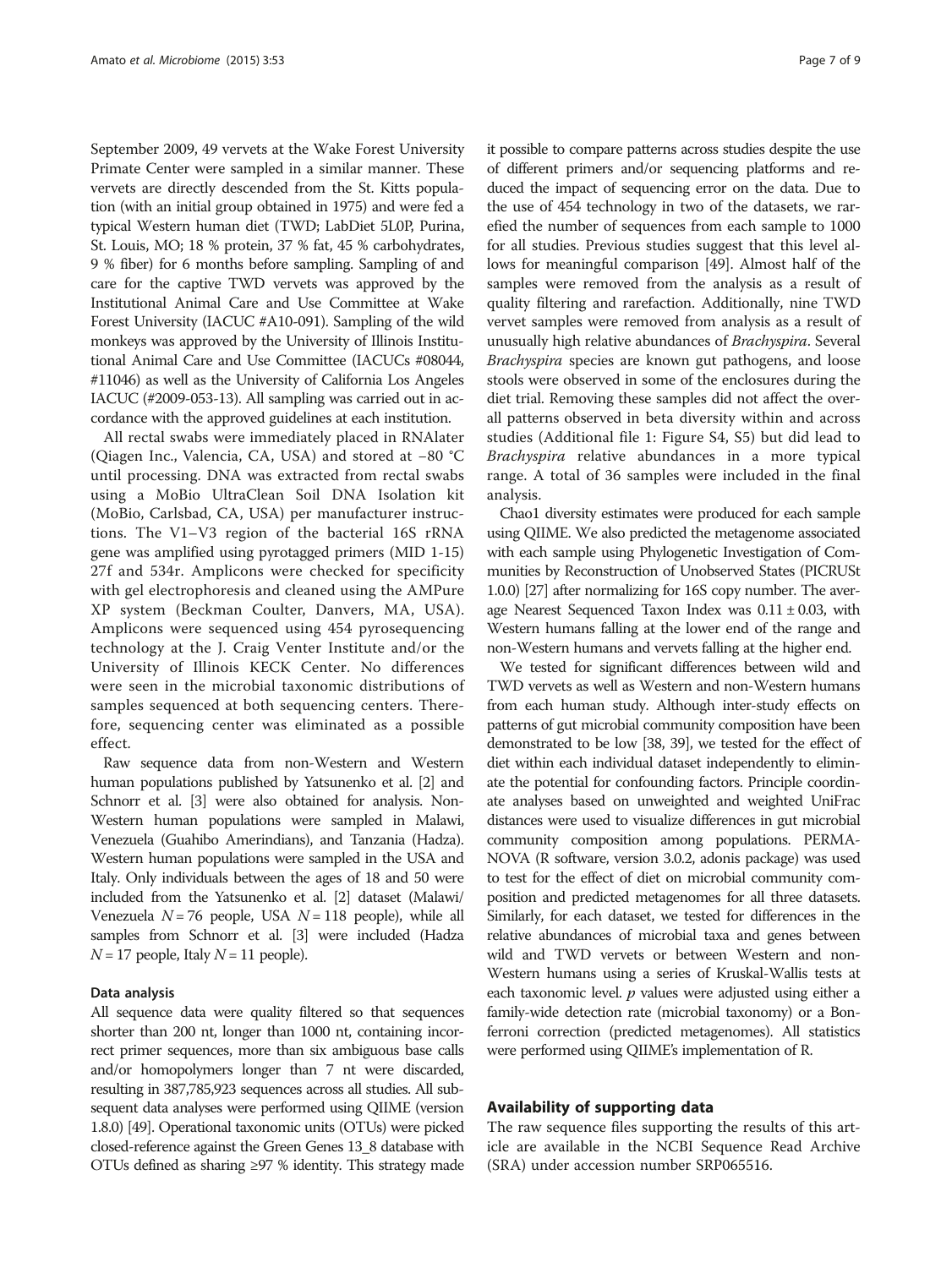September 2009, 49 vervets at the Wake Forest University Primate Center were sampled in a similar manner. These vervets are directly descended from the St. Kitts population (with an initial group obtained in 1975) and were fed a typical Western human diet (TWD; LabDiet 5L0P, Purina, St. Louis, MO; 18 % protein, 37 % fat, 45 % carbohydrates, 9 % fiber) for 6 months before sampling. Sampling of and care for the captive TWD vervets was approved by the Institutional Animal Care and Use Committee at Wake Forest University (IACUC #A10-091). Sampling of the wild monkeys was approved by the University of Illinois Institutional Animal Care and Use Committee (IACUCs #08044, #11046) as well as the University of California Los Angeles IACUC (#2009-053-13). All sampling was carried out in accordance with the approved guidelines at each institution.

All rectal swabs were immediately placed in RNAlater (Qiagen Inc., Valencia, CA, USA) and stored at −80 °C until processing. DNA was extracted from rectal swabs using a MoBio UltraClean Soil DNA Isolation kit (MoBio, Carlsbad, CA, USA) per manufacturer instructions. The V1–V3 region of the bacterial 16S rRNA gene was amplified using pyrotagged primers (MID 1-15) 27f and 534r. Amplicons were checked for specificity with gel electrophoresis and cleaned using the AMPure XP system (Beckman Coulter, Danvers, MA, USA). Amplicons were sequenced using 454 pyrosequencing technology at the J. Craig Venter Institute and/or the University of Illinois KECK Center. No differences were seen in the microbial taxonomic distributions of samples sequenced at both sequencing centers. Therefore, sequencing center was eliminated as a possible effect.

Raw sequence data from non-Western and Western human populations published by Yatsunenko et al. [2] and Schnorr et al. [3] were also obtained for analysis. Non-Western human populations were sampled in Malawi, Venezuela (Guahibo Amerindians), and Tanzania (Hadza). Western human populations were sampled in the USA and Italy. Only individuals between the ages of 18 and 50 were included from the Yatsunenko et al. [2] dataset (Malawi/ Venezuela  $N = 76$  people, USA  $N = 118$  people), while all samples from Schnorr et al. [3] were included (Hadza  $N = 17$  people, Italy  $N = 11$  people).

### Data analysis

All sequence data were quality filtered so that sequences shorter than 200 nt, longer than 1000 nt, containing incorrect primer sequences, more than six ambiguous base calls and/or homopolymers longer than 7 nt were discarded, resulting in 387,785,923 sequences across all studies. All subsequent data analyses were performed using QIIME (version 1.8.0) [49]. Operational taxonomic units (OTUs) were picked closed-reference against the Green Genes 13\_8 database with OTUs defined as sharing ≥97 % identity. This strategy made

it possible to compare patterns across studies despite the use of different primers and/or sequencing platforms and reduced the impact of sequencing error on the data. Due to the use of 454 technology in two of the datasets, we rarefied the number of sequences from each sample to 1000 for all studies. Previous studies suggest that this level allows for meaningful comparison [49]. Almost half of the samples were removed from the analysis as a result of quality filtering and rarefaction. Additionally, nine TWD vervet samples were removed from analysis as a result of unusually high relative abundances of Brachyspira. Several Brachyspira species are known gut pathogens, and loose stools were observed in some of the enclosures during the diet trial. Removing these samples did not affect the overall patterns observed in beta diversity within and across studies (Additional file 1: Figure S4, S5) but did lead to Brachyspira relative abundances in a more typical range. A total of 36 samples were included in the final analysis.

Chao1 diversity estimates were produced for each sample using QIIME. We also predicted the metagenome associated with each sample using Phylogenetic Investigation of Communities by Reconstruction of Unobserved States (PICRUSt 1.0.0) [27] after normalizing for 16S copy number. The average Nearest Sequenced Taxon Index was  $0.11 \pm 0.03$ , with Western humans falling at the lower end of the range and non-Western humans and vervets falling at the higher end.

We tested for significant differences between wild and TWD vervets as well as Western and non-Western humans from each human study. Although inter-study effects on patterns of gut microbial community composition have been demonstrated to be low [38, 39], we tested for the effect of diet within each individual dataset independently to eliminate the potential for confounding factors. Principle coordinate analyses based on unweighted and weighted UniFrac distances were used to visualize differences in gut microbial community composition among populations. PERMA-NOVA (R software, version 3.0.2, adonis package) was used to test for the effect of diet on microbial community composition and predicted metagenomes for all three datasets. Similarly, for each dataset, we tested for differences in the relative abundances of microbial taxa and genes between wild and TWD vervets or between Western and non-Western humans using a series of Kruskal-Wallis tests at each taxonomic level.  $p$  values were adjusted using either a family-wide detection rate (microbial taxonomy) or a Bonferroni correction (predicted metagenomes). All statistics were performed using QIIME's implementation of R.

# Availability of supporting data

The raw sequence files supporting the results of this article are available in the NCBI Sequence Read Archive (SRA) under accession number SRP065516.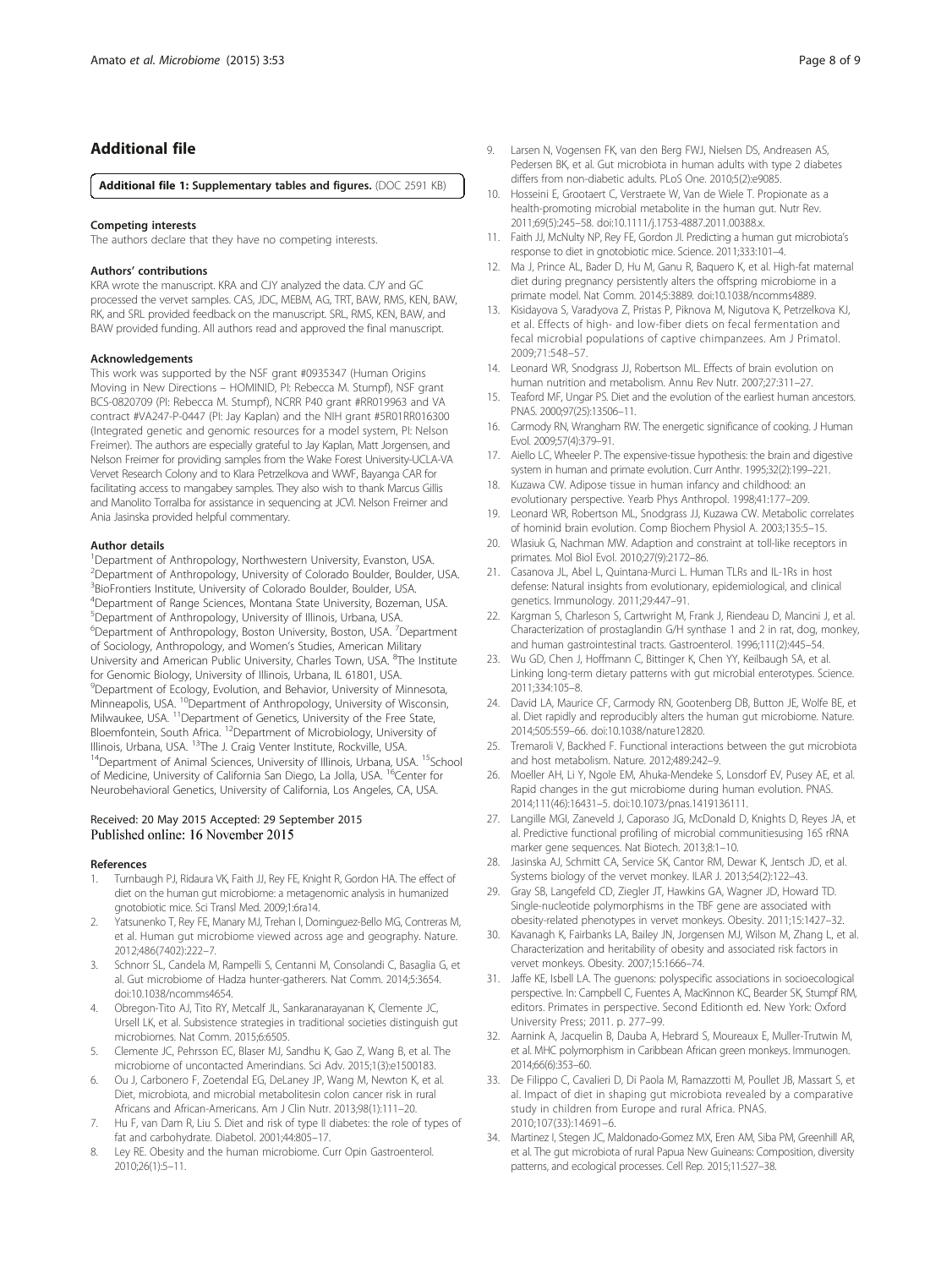# Additional file

#### [Additional file 1:](http://www.microbiomejournal.com/content/supplementary/s40168-015-0120-7-s1.doc) Supplementary tables and figures. (DOC 2591 KB)

#### Competing interests

The authors declare that they have no competing interests.

#### Authors' contributions

KRA wrote the manuscript. KRA and CJY analyzed the data. CJY and GC processed the vervet samples. CAS, JDC, MEBM, AG, TRT, BAW, RMS, KEN, BAW, RK, and SRL provided feedback on the manuscript. SRL, RMS, KEN, BAW, and BAW provided funding. All authors read and approved the final manuscript.

#### Acknowledgements

This work was supported by the NSF grant #0935347 (Human Origins Moving in New Directions – HOMINID, PI: Rebecca M. Stumpf), NSF grant BCS-0820709 (PI: Rebecca M. Stumpf), NCRR P40 grant #RR019963 and VA contract #VA247-P-0447 (PI: Jay Kaplan) and the NIH grant #5R01RR016300 (Integrated genetic and genomic resources for a model system, PI: Nelson Freimer). The authors are especially grateful to Jay Kaplan, Matt Jorgensen, and Nelson Freimer for providing samples from the Wake Forest University-UCLA-VA Vervet Research Colony and to Klara Petrzelkova and WWF, Bayanga CAR for facilitating access to mangabey samples. They also wish to thank Marcus Gillis and Manolito Torralba for assistance in sequencing at JCVI. Nelson Freimer and Ania Jasinska provided helpful commentary.

#### Author details

<sup>1</sup>Department of Anthropology, Northwestern University, Evanston, USA. 2 Department of Anthropology, University of Colorado Boulder, Boulder, USA. 3 BioFrontiers Institute, University of Colorado Boulder, Boulder, USA. 4 Department of Range Sciences, Montana State University, Bozeman, USA. 5 Department of Anthropology, University of Illinois, Urbana, USA. <sup>6</sup>Department of Anthropology, Boston University, Boston, USA. <sup>7</sup>Department of Sociology, Anthropology, and Women's Studies, American Military University and American Public University, Charles Town, USA. <sup>8</sup>The Institute for Genomic Biology, University of Illinois, Urbana, IL 61801, USA. <sup>9</sup>Department of Ecology, Evolution, and Behavior, University of Minnesota, Minneapolis, USA. <sup>10</sup>Department of Anthropology, University of Wisconsin, Milwaukee, USA. <sup>11</sup>Department of Genetics, University of the Free State, Nurrances, our a Department of Microbiology, University of Bloemfontein, South Africa. <sup>12</sup>Department of Microbiology, University of Illinois, Urbana, USA. <sup>13</sup>The J. Craig Venter Institute, Rockville, USA. <sup>14</sup>Department of Animal Sciences, University of Illinois, Urbana, USA. <sup>15</sup>School of Medicine, University of California San Diego, La Jolla, USA. 16Center for Neurobehavioral Genetics, University of California, Los Angeles, CA, USA.

# Received: 20 May 2015 Accepted: 29 September 2015

#### References

- 1. Turnbaugh PJ, Ridaura VK, Faith JJ, Rey FE, Knight R, Gordon HA. The effect of diet on the human gut microbiome: a metagenomic analysis in humanized gnotobiotic mice. Sci Transl Med. 2009;1:6ra14.
- Yatsunenko T, Rey FE, Manary MJ, Trehan I, Dominguez-Bello MG, Contreras M, et al. Human gut microbiome viewed across age and geography. Nature. 2012;486(7402):222–7.
- 3. Schnorr SL, Candela M, Rampelli S, Centanni M, Consolandi C, Basaglia G, et al. Gut microbiome of Hadza hunter-gatherers. Nat Comm. 2014;5:3654. doi[:10.1038/ncomms4654.](http://dx.doi.org/10.1038/ncomms4654)
- 4. Obregon-Tito AJ, Tito RY, Metcalf JL, Sankaranarayanan K, Clemente JC, Ursell LK, et al. Subsistence strategies in traditional societies distinguish gut microbiomes. Nat Comm. 2015;6:6505.
- 5. Clemente JC, Pehrsson EC, Blaser MJ, Sandhu K, Gao Z, Wang B, et al. The microbiome of uncontacted Amerindians. Sci Adv. 2015;1(3):e1500183.
- 6. Ou J, Carbonero F, Zoetendal EG, DeLaney JP, Wang M, Newton K, et al. Diet, microbiota, and microbial metabolitesin colon cancer risk in rural Africans and African-Americans. Am J Clin Nutr. 2013;98(1):111–20.
- 7. Hu F, van Dam R, Liu S. Diet and risk of type II diabetes: the role of types of fat and carbohydrate. Diabetol. 2001;44:805–17.
- 8. Ley RE. Obesity and the human microbiome. Curr Opin Gastroenterol. 2010;26(1):5–11.
- 9. Larsen N, Vogensen FK, van den Berg FWJ, Nielsen DS, Andreasen AS, Pedersen BK, et al. Gut microbiota in human adults with type 2 diabetes differs from non-diabetic adults. PLoS One. 2010;5(2):e9085.
- 10. Hosseini E, Grootaert C, Verstraete W, Van de Wiele T. Propionate as a health-promoting microbial metabolite in the human gut. Nutr Rev. 2011;69(5):245–58. doi:[10.1111/j.1753-4887.2011.00388.x](http://dx.doi.org/10.1111/j.1753-4887.2011.00388.x).
- 11. Faith JJ, McNulty NP, Rey FE, Gordon JI. Predicting a human gut microbiota's response to diet in gnotobiotic mice. Science. 2011;333:101–4.
- 12. Ma J, Prince AL, Bader D, Hu M, Ganu R, Baquero K, et al. High-fat maternal diet during pregnancy persistently alters the offspring microbiome in a primate model. Nat Comm. 2014;5:3889. doi:[10.1038/ncomms4889](http://dx.doi.org/10.1038/ncomms4889).
- 13. Kisidayova S, Varadyova Z, Pristas P, Piknova M, Nigutova K, Petrzelkova KJ, et al. Effects of high- and low-fiber diets on fecal fermentation and fecal microbial populations of captive chimpanzees. Am J Primatol. 2009;71:548–57.
- 14. Leonard WR, Snodgrass JJ, Robertson ML. Effects of brain evolution on human nutrition and metabolism. Annu Rev Nutr. 2007;27:311–27.
- 15. Teaford MF, Ungar PS. Diet and the evolution of the earliest human ancestors. PNAS. 2000;97(25):13506–11.
- 16. Carmody RN, Wrangham RW. The energetic significance of cooking. J Human Evol. 2009;57(4):379–91.
- 17. Aiello LC, Wheeler P. The expensive-tissue hypothesis: the brain and digestive system in human and primate evolution. Curr Anthr. 1995;32(2):199–221.
- 18. Kuzawa CW. Adipose tissue in human infancy and childhood: an evolutionary perspective. Yearb Phys Anthropol. 1998;41:177–209.
- 19. Leonard WR, Robertson ML, Snodgrass JJ, Kuzawa CW. Metabolic correlates of hominid brain evolution. Comp Biochem Physiol A. 2003;135:5–15.
- 20. Wlasiuk G, Nachman MW. Adaption and constraint at toll-like receptors in primates. Mol Biol Evol. 2010;27(9):2172–86.
- 21. Casanova JL, Abel L, Quintana-Murci L. Human TLRs and IL-1Rs in host defense: Natural insights from evolutionary, epidemiological, and clinical genetics. Immunology. 2011;29:447–91.
- 22. Kargman S, Charleson S, Cartwright M, Frank J, Riendeau D, Mancini J, et al. Characterization of prostaglandin G/H synthase 1 and 2 in rat, dog, monkey, and human gastrointestinal tracts. Gastroenterol. 1996;111(2):445–54.
- 23. Wu GD, Chen J, Hoffmann C, Bittinger K, Chen YY, Keilbaugh SA, et al. Linking long-term dietary patterns with gut microbial enterotypes. Science. 2011;334:105–8.
- 24. David LA, Maurice CF, Carmody RN, Gootenberg DB, Button JE, Wolfe BE, et al. Diet rapidly and reproducibly alters the human gut microbiome. Nature. 2014;505:559–66. doi[:10.1038/nature12820.](http://dx.doi.org/10.1038/nature12820)
- 25. Tremaroli V, Backhed F. Functional interactions between the gut microbiota and host metabolism. Nature. 2012;489:242–9.
- 26. Moeller AH, Li Y, Ngole EM, Ahuka-Mendeke S, Lonsdorf EV, Pusey AE, et al. Rapid changes in the gut microbiome during human evolution. PNAS. 2014;111(46):16431–5. doi[:10.1073/pnas.1419136111](http://dx.doi.org/10.1073/pnas.1419136111).
- 27. Langille MGI, Zaneveld J, Caporaso JG, McDonald D, Knights D, Reyes JA, et al. Predictive functional profiling of microbial communitiesusing 16S rRNA marker gene sequences. Nat Biotech. 2013;8:1–10.
- 28. Jasinska AJ, Schmitt CA, Service SK, Cantor RM, Dewar K, Jentsch JD, et al. Systems biology of the vervet monkey. ILAR J. 2013;54(2):122–43.
- 29. Gray SB, Langefeld CD, Ziegler JT, Hawkins GA, Wagner JD, Howard TD. Single-nucleotide polymorphisms in the TBF gene are associated with obesity-related phenotypes in vervet monkeys. Obesity. 2011;15:1427–32.
- 30. Kavanagh K, Fairbanks LA, Bailey JN, Jorgensen MJ, Wilson M, Zhang L, et al. Characterization and heritability of obesity and associated risk factors in vervet monkeys. Obesity. 2007;15:1666–74.
- 31. Jaffe KE, Isbell LA. The guenons: polyspecific associations in socioecological perspective. In: Campbell C, Fuentes A, MacKinnon KC, Bearder SK, Stumpf RM, editors. Primates in perspective. Second Editionth ed. New York: Oxford University Press; 2011. p. 277–99.
- 32. Aarnink A, Jacquelin B, Dauba A, Hebrard S, Moureaux E, Muller-Trutwin M, et al. MHC polymorphism in Caribbean African green monkeys. Immunogen. 2014;66(6):353–60.
- 33. De Filippo C, Cavalieri D, Di Paola M, Ramazzotti M, Poullet JB, Massart S, et al. Impact of diet in shaping gut microbiota revealed by a comparative study in children from Europe and rural Africa. PNAS. 2010;107(33):14691–6.
- 34. Martinez I, Stegen JC, Maldonado-Gomez MX, Eren AM, Siba PM, Greenhill AR, et al. The gut microbiota of rural Papua New Guineans: Composition, diversity patterns, and ecological processes. Cell Rep. 2015;11:527–38.